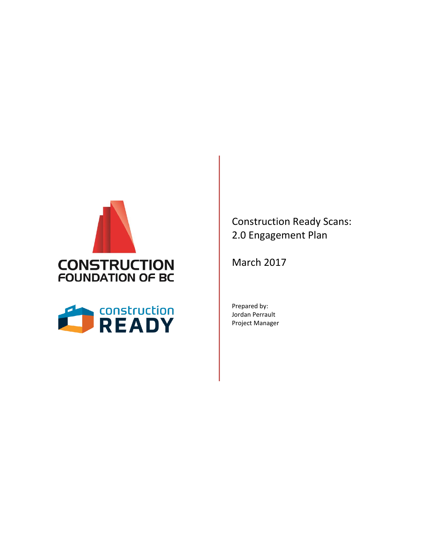



Construction Ready Scans: 2.0 Engagement Plan

March 2017

Prepared by: Jordan Perrault Project Manager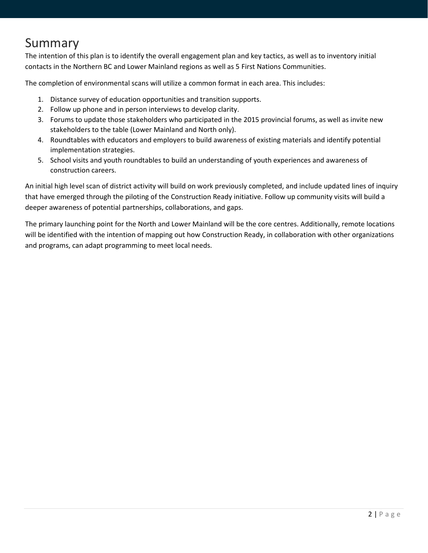# Summary

The intention of this plan is to identify the overall engagement plan and key tactics, as well as to inventory initial contacts in the Northern BC and Lower Mainland regions as well as 5 First Nations Communities.

The completion of environmental scans will utilize a common format in each area. This includes:

- 1. Distance survey of education opportunities and transition supports.
- 2. Follow up phone and in person interviews to develop clarity.
- 3. Forums to update those stakeholders who participated in the 2015 provincial forums, as well as invite new stakeholders to the table (Lower Mainland and North only).
- 4. Roundtables with educators and employers to build awareness of existing materials and identify potential implementation strategies.
- 5. School visits and youth roundtables to build an understanding of youth experiences and awareness of construction careers.

An initial high level scan of district activity will build on work previously completed, and include updated lines of inquiry that have emerged through the piloting of the Construction Ready initiative. Follow up community visits will build a deeper awareness of potential partnerships, collaborations, and gaps.

The primary launching point for the North and Lower Mainland will be the core centres. Additionally, remote locations will be identified with the intention of mapping out how Construction Ready, in collaboration with other organizations and programs, can adapt programming to meet local needs.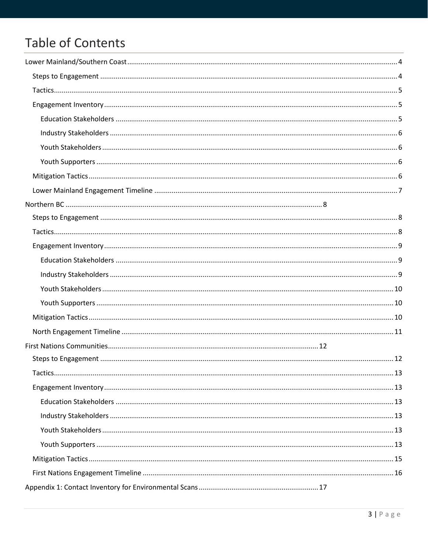# **Table of Contents**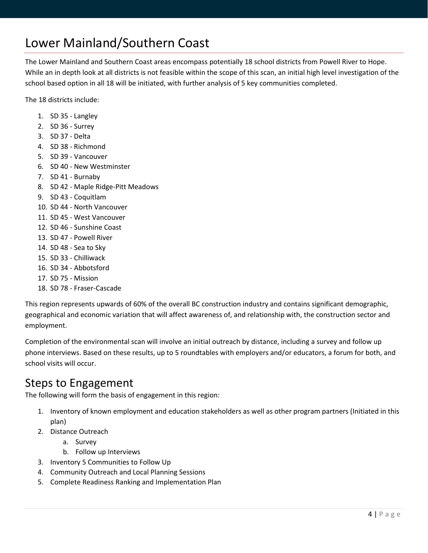# <span id="page-3-0"></span>Lower Mainland/Southern Coast

The Lower Mainland and Southern Coast areas encompass potentially 18 school districts from Powell River to Hope. While an in depth look at all districts is not feasible within the scope of this scan, an initial high level investigation of the school based option in all 18 will be initiated, with further analysis of 5 key communities completed.

The 18 districts include:

- 1. SD 35 Langley
- 2. SD 36 Surrey
- 3. SD 37 Delta
- 4. SD 38 Richmond
- 5. SD 39 Vancouver
- 6. SD 40 New Westminster
- 7. SD 41 Burnaby
- 8. SD 42 Maple Ridge-Pitt Meadows
- 9. SD 43 Coquitlam
- 10. SD 44 North Vancouver
- 11. SD 45 West Vancouver
- 12. SD 46 Sunshine Coast
- 13. SD 47 Powell River
- 14. SD 48 Sea to Sky
- 15. SD 33 Chilliwack
- 16. SD 34 Abbotsford
- 17. SD 75 Mission
- 18. SD 78 Fraser-Cascade

This region represents upwards of 60% of the overall BC construction industry and contains significant demographic, geographical and economic variation that will affect awareness of, and relationship with, the construction sector and employment.

Completion of the environmental scan will involve an initial outreach by distance, including a survey and follow up phone interviews. Based on these results, up to 5 roundtables with employers and/or educators, a forum for both, and school visits will occur.

### <span id="page-3-1"></span>Steps to Engagement

The following will form the basis of engagement in this region:

- 1. Inventory of known employment and education stakeholders as well as other program partners (Initiated in this plan)
- 2. Distance Outreach
	- a. Survey
	- b. Follow up Interviews
- 3. Inventory 5 Communities to Follow Up
- 4. Community Outreach and Local Planning Sessions
- 5. Complete Readiness Ranking and Implementation Plan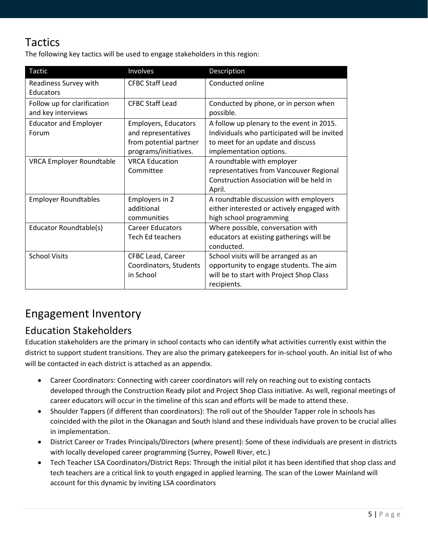## <span id="page-4-0"></span>Tactics

The following key tactics will be used to engage stakeholders in this region:

| <b>Tactic</b>                                     | Involves                                                                                              | Description                                                                                                                                               |
|---------------------------------------------------|-------------------------------------------------------------------------------------------------------|-----------------------------------------------------------------------------------------------------------------------------------------------------------|
| Readiness Survey with<br>Educators                | <b>CFBC Staff Lead</b>                                                                                | Conducted online                                                                                                                                          |
| Follow up for clarification<br>and key interviews | <b>CFBC Staff Lead</b>                                                                                | Conducted by phone, or in person when<br>possible.                                                                                                        |
| <b>Educator and Employer</b><br>Forum             | <b>Employers, Educators</b><br>and representatives<br>from potential partner<br>programs/initiatives. | A follow up plenary to the event in 2015.<br>Individuals who participated will be invited<br>to meet for an update and discuss<br>implementation options. |
| <b>VRCA Employer Roundtable</b>                   | <b>VRCA Education</b><br>Committee                                                                    | A roundtable with employer<br>representatives from Vancouver Regional<br>Construction Association will be held in<br>April.                               |
| <b>Employer Roundtables</b>                       | Employers in 2<br>additional<br>communities                                                           | A roundtable discussion with employers<br>either interested or actively engaged with<br>high school programming                                           |
| Educator Roundtable(s)                            | <b>Career Educators</b><br><b>Tech Ed teachers</b>                                                    | Where possible, conversation with<br>educators at existing gatherings will be<br>conducted.                                                               |
| <b>School Visits</b>                              | CFBC Lead, Career<br>Coordinators, Students<br>in School                                              | School visits will be arranged as an<br>opportunity to engage students. The aim<br>will be to start with Project Shop Class<br>recipients.                |

# <span id="page-4-1"></span>Engagement Inventory

### <span id="page-4-2"></span>Education Stakeholders

Education stakeholders are the primary in school contacts who can identify what activities currently exist within the district to support student transitions. They are also the primary gatekeepers for in-school youth. An initial list of who will be contacted in each district is attached as an appendix.

- Career Coordinators: Connecting with career coordinators will rely on reaching out to existing contacts developed through the Construction Ready pilot and Project Shop Class initiative. As well, regional meetings of career educators will occur in the timeline of this scan and efforts will be made to attend these.
- Shoulder Tappers (if different than coordinators): The roll out of the Shoulder Tapper role in schools has coincided with the pilot in the Okanagan and South Island and these individuals have proven to be crucial allies in implementation.
- District Career or Trades Principals/Directors (where present): Some of these individuals are present in districts with locally developed career programming (Surrey, Powell River, etc.)
- Tech Teacher LSA Coordinators/District Reps: Through the initial pilot it has been identified that shop class and tech teachers are a critical link to youth engaged in applied learning. The scan of the Lower Mainland will account for this dynamic by inviting LSA coordinators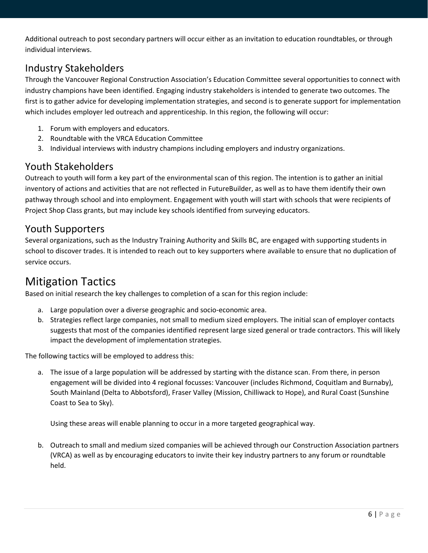Additional outreach to post secondary partners will occur either as an invitation to education roundtables, or through individual interviews.

### <span id="page-5-0"></span>Industry Stakeholders

Through the Vancouver Regional Construction Association's Education Committee several opportunities to connect with industry champions have been identified. Engaging industry stakeholders is intended to generate two outcomes. The first is to gather advice for developing implementation strategies, and second is to generate support for implementation which includes employer led outreach and apprenticeship. In this region, the following will occur:

- 1. Forum with employers and educators.
- 2. Roundtable with the VRCA Education Committee
- 3. Individual interviews with industry champions including employers and industry organizations.

### <span id="page-5-1"></span>Youth Stakeholders

Outreach to youth will form a key part of the environmental scan of this region. The intention is to gather an initial inventory of actions and activities that are not reflected in FutureBuilder, as well as to have them identify their own pathway through school and into employment. Engagement with youth will start with schools that were recipients of Project Shop Class grants, but may include key schools identified from surveying educators.

#### <span id="page-5-2"></span>Youth Supporters

Several organizations, such as the Industry Training Authority and Skills BC, are engaged with supporting students in school to discover trades. It is intended to reach out to key supporters where available to ensure that no duplication of service occurs.

### <span id="page-5-3"></span>Mitigation Tactics

Based on initial research the key challenges to completion of a scan for this region include:

- a. Large population over a diverse geographic and socio-economic area.
- b. Strategies reflect large companies, not small to medium sized employers. The initial scan of employer contacts suggests that most of the companies identified represent large sized general or trade contractors. This will likely impact the development of implementation strategies.

The following tactics will be employed to address this:

a. The issue of a large population will be addressed by starting with the distance scan. From there, in person engagement will be divided into 4 regional focusses: Vancouver (includes Richmond, Coquitlam and Burnaby), South Mainland (Delta to Abbotsford), Fraser Valley (Mission, Chilliwack to Hope), and Rural Coast (Sunshine Coast to Sea to Sky).

Using these areas will enable planning to occur in a more targeted geographical way.

b. Outreach to small and medium sized companies will be achieved through our Construction Association partners (VRCA) as well as by encouraging educators to invite their key industry partners to any forum or roundtable held.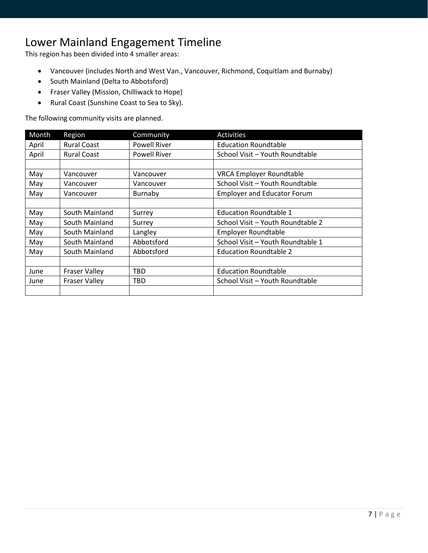# <span id="page-6-0"></span>Lower Mainland Engagement Timeline

This region has been divided into 4 smaller areas:

- Vancouver (includes North and West Van., Vancouver, Richmond, Coquitlam and Burnaby)
- South Mainland (Delta to Abbotsford)
- **•** Fraser Valley (Mission, Chilliwack to Hope)
- Rural Coast (Sunshine Coast to Sea to Sky).

The following community visits are planned.

| Month | Region               | Community           | Activities                         |
|-------|----------------------|---------------------|------------------------------------|
| April | <b>Rural Coast</b>   | <b>Powell River</b> | <b>Education Roundtable</b>        |
| April | <b>Rural Coast</b>   | <b>Powell River</b> | School Visit - Youth Roundtable    |
|       |                      |                     |                                    |
| May   | Vancouver            | Vancouver           | <b>VRCA Employer Roundtable</b>    |
| May   | Vancouver            | Vancouver           | School Visit - Youth Roundtable    |
| May   | Vancouver            | Burnaby             | <b>Employer and Educator Forum</b> |
|       |                      |                     |                                    |
| May   | South Mainland       | Surrey              | <b>Education Roundtable 1</b>      |
| May   | South Mainland       | Surrey              | School Visit - Youth Roundtable 2  |
| May   | South Mainland       | Langley             | <b>Employer Roundtable</b>         |
| May   | South Mainland       | Abbotsford          | School Visit - Youth Roundtable 1  |
| May   | South Mainland       | Abbotsford          | <b>Education Roundtable 2</b>      |
|       |                      |                     |                                    |
| June  | <b>Fraser Valley</b> | <b>TBD</b>          | <b>Education Roundtable</b>        |
| June  | <b>Fraser Valley</b> | <b>TBD</b>          | School Visit - Youth Roundtable    |
|       |                      |                     |                                    |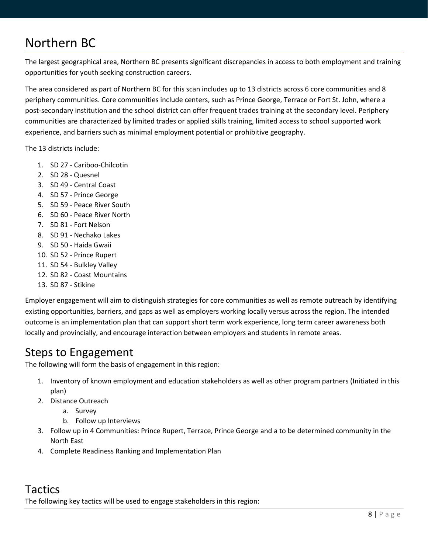# <span id="page-7-0"></span>Northern BC

The largest geographical area, Northern BC presents significant discrepancies in access to both employment and training opportunities for youth seeking construction careers.

The area considered as part of Northern BC for this scan includes up to 13 districts across 6 core communities and 8 periphery communities. Core communities include centers, such as Prince George, Terrace or Fort St. John, where a post-secondary institution and the school district can offer frequent trades training at the secondary level. Periphery communities are characterized by limited trades or applied skills training, limited access to school supported work experience, and barriers such as minimal employment potential or prohibitive geography.

The 13 districts include:

- 1. SD 27 Cariboo-Chilcotin
- 2. SD 28 Quesnel
- 3. SD 49 Central Coast
- 4. SD 57 Prince George
- 5. SD 59 Peace River South
- 6. SD 60 Peace River North
- 7. SD 81 Fort Nelson
- 8. SD 91 Nechako Lakes
- 9. SD 50 Haida Gwaii
- 10. SD 52 Prince Rupert
- 11. SD 54 Bulkley Valley
- 12. SD 82 Coast Mountains
- 13. SD 87 Stikine

Employer engagement will aim to distinguish strategies for core communities as well as remote outreach by identifying existing opportunities, barriers, and gaps as well as employers working locally versus across the region. The intended outcome is an implementation plan that can support short term work experience, long term career awareness both locally and provincially, and encourage interaction between employers and students in remote areas.

### <span id="page-7-1"></span>Steps to Engagement

The following will form the basis of engagement in this region:

- 1. Inventory of known employment and education stakeholders as well as other program partners (Initiated in this plan)
- 2. Distance Outreach
	- a. Survey
		- b. Follow up Interviews
- 3. Follow up in 4 Communities: Prince Rupert, Terrace, Prince George and a to be determined community in the North East
- 4. Complete Readiness Ranking and Implementation Plan

### <span id="page-7-2"></span>Tactics

The following key tactics will be used to engage stakeholders in this region: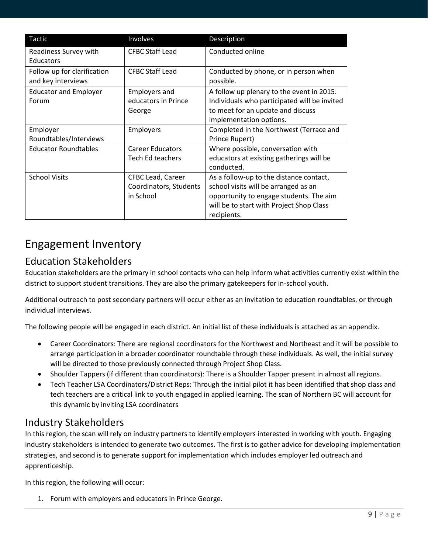| <b>Tactic</b>                | Involves                | Description                                  |
|------------------------------|-------------------------|----------------------------------------------|
| Readiness Survey with        | <b>CFBC Staff Lead</b>  | Conducted online                             |
| Educators                    |                         |                                              |
| Follow up for clarification  | <b>CFBC Staff Lead</b>  | Conducted by phone, or in person when        |
| and key interviews           |                         | possible.                                    |
| <b>Educator and Employer</b> | <b>Employers and</b>    | A follow up plenary to the event in 2015.    |
| Forum                        | educators in Prince     | Individuals who participated will be invited |
|                              | George                  | to meet for an update and discuss            |
|                              |                         | implementation options.                      |
| Employer                     | Employers               | Completed in the Northwest (Terrace and      |
| Roundtables/Interviews       |                         | Prince Rupert)                               |
| <b>Educator Roundtables</b>  | <b>Career Educators</b> | Where possible, conversation with            |
|                              | <b>Tech Ed teachers</b> | educators at existing gatherings will be     |
|                              |                         | conducted.                                   |
| <b>School Visits</b>         | CFBC Lead, Career       | As a follow-up to the distance contact,      |
|                              | Coordinators, Students  | school visits will be arranged as an         |
|                              | in School               | opportunity to engage students. The aim      |
|                              |                         | will be to start with Project Shop Class     |
|                              |                         | recipients.                                  |

## <span id="page-8-0"></span>Engagement Inventory

#### <span id="page-8-1"></span>Education Stakeholders

Education stakeholders are the primary in school contacts who can help inform what activities currently exist within the district to support student transitions. They are also the primary gatekeepers for in-school youth.

Additional outreach to post secondary partners will occur either as an invitation to education roundtables, or through individual interviews.

The following people will be engaged in each district. An initial list of these individuals is attached as an appendix.

- Career Coordinators: There are regional coordinators for the Northwest and Northeast and it will be possible to arrange participation in a broader coordinator roundtable through these individuals. As well, the initial survey will be directed to those previously connected through Project Shop Class.
- Shoulder Tappers (if different than coordinators): There is a Shoulder Tapper present in almost all regions.
- Tech Teacher LSA Coordinators/District Reps: Through the initial pilot it has been identified that shop class and tech teachers are a critical link to youth engaged in applied learning. The scan of Northern BC will account for this dynamic by inviting LSA coordinators

#### <span id="page-8-2"></span>Industry Stakeholders

In this region, the scan will rely on industry partners to identify employers interested in working with youth. Engaging industry stakeholders is intended to generate two outcomes. The first is to gather advice for developing implementation strategies, and second is to generate support for implementation which includes employer led outreach and apprenticeship.

In this region, the following will occur:

1. Forum with employers and educators in Prince George.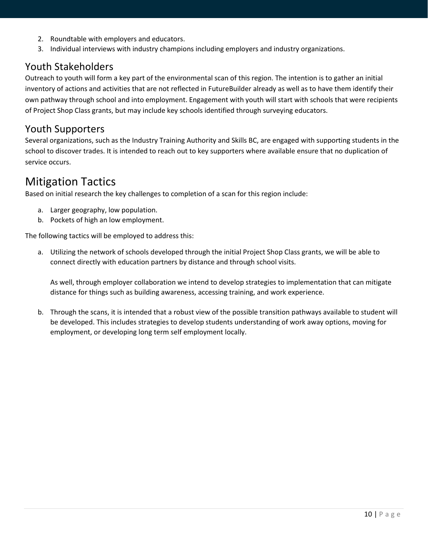- 2. Roundtable with employers and educators.
- 3. Individual interviews with industry champions including employers and industry organizations.

#### <span id="page-9-0"></span>Youth Stakeholders

Outreach to youth will form a key part of the environmental scan of this region. The intention is to gather an initial inventory of actions and activities that are not reflected in FutureBuilder already as well as to have them identify their own pathway through school and into employment. Engagement with youth will start with schools that were recipients of Project Shop Class grants, but may include key schools identified through surveying educators.

#### <span id="page-9-1"></span>Youth Supporters

Several organizations, such as the Industry Training Authority and Skills BC, are engaged with supporting students in the school to discover trades. It is intended to reach out to key supporters where available ensure that no duplication of service occurs.

### <span id="page-9-2"></span>Mitigation Tactics

Based on initial research the key challenges to completion of a scan for this region include:

- a. Larger geography, low population.
- b. Pockets of high an low employment.

The following tactics will be employed to address this:

a. Utilizing the network of schools developed through the initial Project Shop Class grants, we will be able to connect directly with education partners by distance and through school visits.

As well, through employer collaboration we intend to develop strategies to implementation that can mitigate distance for things such as building awareness, accessing training, and work experience.

b. Through the scans, it is intended that a robust view of the possible transition pathways available to student will be developed. This includes strategies to develop students understanding of work away options, moving for employment, or developing long term self employment locally.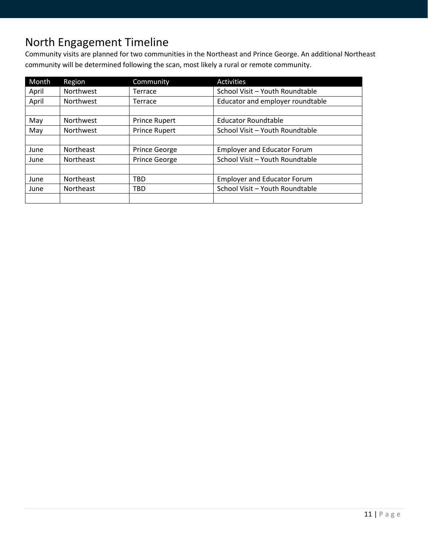# <span id="page-10-0"></span>North Engagement Timeline

Community visits are planned for two communities in the Northeast and Prince George. An additional Northeast community will be determined following the scan, most likely a rural or remote community.

| Month | Region           | Community            | <b>Activities</b>                  |
|-------|------------------|----------------------|------------------------------------|
| April | Northwest        | Terrace              | School Visit - Youth Roundtable    |
| April | Northwest        | Terrace              | Educator and employer roundtable   |
|       |                  |                      |                                    |
| May   | <b>Northwest</b> | <b>Prince Rupert</b> | <b>Educator Roundtable</b>         |
| May   | <b>Northwest</b> | <b>Prince Rupert</b> | School Visit - Youth Roundtable    |
|       |                  |                      |                                    |
| June  | <b>Northeast</b> | <b>Prince George</b> | <b>Employer and Educator Forum</b> |
| June  | <b>Northeast</b> | <b>Prince George</b> | School Visit - Youth Roundtable    |
|       |                  |                      |                                    |
| June  | Northeast        | <b>TBD</b>           | <b>Employer and Educator Forum</b> |
| June  | Northeast        | <b>TBD</b>           | School Visit - Youth Roundtable    |
|       |                  |                      |                                    |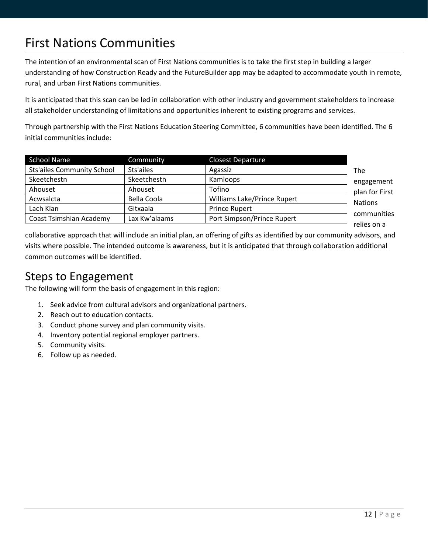# <span id="page-11-0"></span>First Nations Communities

The intention of an environmental scan of First Nations communities is to take the first step in building a larger understanding of how Construction Ready and the FutureBuilder app may be adapted to accommodate youth in remote, rural, and urban First Nations communities.

It is anticipated that this scan can be led in collaboration with other industry and government stakeholders to increase all stakeholder understanding of limitations and opportunities inherent to existing programs and services.

Through partnership with the First Nations Education Steering Committee, 6 communities have been identified. The 6 initial communities include:

| <b>School Name</b>                | Community     | <b>Closest Departure</b>    |                |
|-----------------------------------|---------------|-----------------------------|----------------|
| <b>Sts'ailes Community School</b> | Sts'ailes     | Agassiz                     | The            |
| Skeetchestn                       | Skeetchestn   | Kamloops                    | engagement     |
| Ahouset                           | Ahouset       | Tofino                      | plan for First |
| Acwsalcta                         | Bella Coola   | Williams Lake/Prince Rupert | <b>Nations</b> |
| Lach Klan                         | Gitxaala      | <b>Prince Rupert</b>        |                |
| <b>Coast Tsimshian Academy</b>    | Lax Kw'alaams | Port Simpson/Prince Rupert  | communities    |
|                                   |               |                             | relies on a    |

collaborative approach that will include an initial plan, an offering of gifts as identified by our community advisors, and visits where possible. The intended outcome is awareness, but it is anticipated that through collaboration additional common outcomes will be identified.

### <span id="page-11-1"></span>Steps to Engagement

The following will form the basis of engagement in this region:

- 1. Seek advice from cultural advisors and organizational partners.
- 2. Reach out to education contacts.
- 3. Conduct phone survey and plan community visits.
- 4. Inventory potential regional employer partners.
- 5. Community visits.
- 6. Follow up as needed.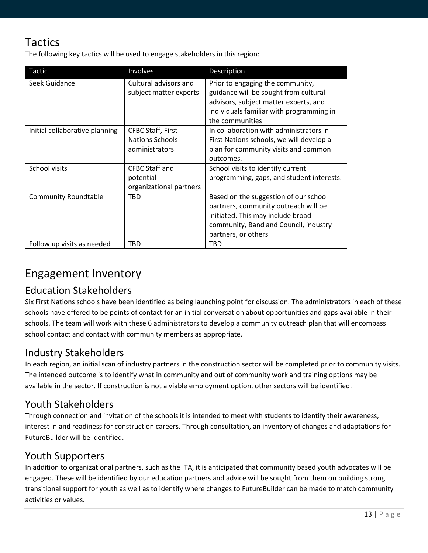## <span id="page-12-0"></span>Tactics

The following key tactics will be used to engage stakeholders in this region:

| <b>Tactic</b>                  | Involves                                                             | Description                                                                                                                                                                        |
|--------------------------------|----------------------------------------------------------------------|------------------------------------------------------------------------------------------------------------------------------------------------------------------------------------|
| Seek Guidance                  | Cultural advisors and<br>subject matter experts                      | Prior to engaging the community,<br>guidance will be sought from cultural<br>advisors, subject matter experts, and<br>individuals familiar with programming in<br>the communities  |
| Initial collaborative planning | <b>CFBC Staff, First</b><br><b>Nations Schools</b><br>administrators | In collaboration with administrators in<br>First Nations schools, we will develop a<br>plan for community visits and common<br>outcomes.                                           |
| School visits                  | <b>CFBC Staff and</b><br>potential<br>organizational partners        | School visits to identify current<br>programming, gaps, and student interests.                                                                                                     |
| <b>Community Roundtable</b>    | TBD                                                                  | Based on the suggestion of our school<br>partners, community outreach will be<br>initiated. This may include broad<br>community, Band and Council, industry<br>partners, or others |
| Follow up visits as needed     | TBD                                                                  | TBD                                                                                                                                                                                |

## <span id="page-12-1"></span>Engagement Inventory

#### <span id="page-12-2"></span>Education Stakeholders

Six First Nations schools have been identified as being launching point for discussion. The administrators in each of these schools have offered to be points of contact for an initial conversation about opportunities and gaps available in their schools. The team will work with these 6 administrators to develop a community outreach plan that will encompass school contact and contact with community members as appropriate.

### <span id="page-12-3"></span>Industry Stakeholders

In each region, an initial scan of industry partners in the construction sector will be completed prior to community visits. The intended outcome is to identify what in community and out of community work and training options may be available in the sector. If construction is not a viable employment option, other sectors will be identified.

### <span id="page-12-4"></span>Youth Stakeholders

Through connection and invitation of the schools it is intended to meet with students to identify their awareness, interest in and readiness for construction careers. Through consultation, an inventory of changes and adaptations for FutureBuilder will be identified.

### <span id="page-12-5"></span>Youth Supporters

In addition to organizational partners, such as the ITA, it is anticipated that community based youth advocates will be engaged. These will be identified by our education partners and advice will be sought from them on building strong transitional support for youth as well as to identify where changes to FutureBuilder can be made to match community activities or values.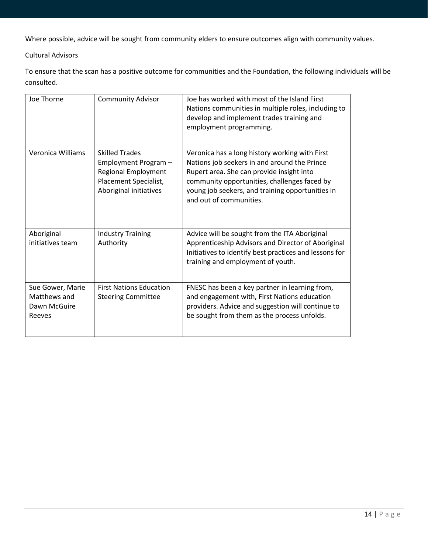Where possible, advice will be sought from community elders to ensure outcomes align with community values.

#### Cultural Advisors

To ensure that the scan has a positive outcome for communities and the Foundation, the following individuals will be consulted.

| Joe Thorne                                                 | <b>Community Advisor</b>                                                                                                       | Joe has worked with most of the Island First<br>Nations communities in multiple roles, including to<br>develop and implement trades training and<br>employment programming.                                                                                                |
|------------------------------------------------------------|--------------------------------------------------------------------------------------------------------------------------------|----------------------------------------------------------------------------------------------------------------------------------------------------------------------------------------------------------------------------------------------------------------------------|
| Veronica Williams                                          | <b>Skilled Trades</b><br>Employment Program -<br><b>Regional Employment</b><br>Placement Specialist,<br>Aboriginal initiatives | Veronica has a long history working with First<br>Nations job seekers in and around the Prince<br>Rupert area. She can provide insight into<br>community opportunities, challenges faced by<br>young job seekers, and training opportunities in<br>and out of communities. |
| Aboriginal<br>initiatives team                             | <b>Industry Training</b><br>Authority                                                                                          | Advice will be sought from the ITA Aboriginal<br>Apprenticeship Advisors and Director of Aboriginal<br>Initiatives to identify best practices and lessons for<br>training and employment of youth.                                                                         |
| Sue Gower, Marie<br>Matthews and<br>Dawn McGuire<br>Reeves | <b>First Nations Education</b><br><b>Steering Committee</b>                                                                    | FNESC has been a key partner in learning from,<br>and engagement with, First Nations education<br>providers. Advice and suggestion will continue to<br>be sought from them as the process unfolds.                                                                         |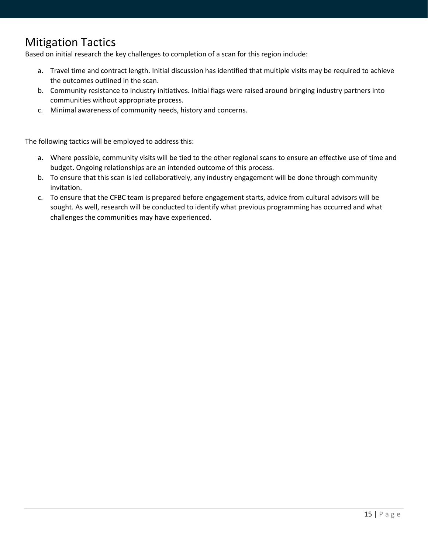## <span id="page-14-0"></span>Mitigation Tactics

Based on initial research the key challenges to completion of a scan for this region include:

- a. Travel time and contract length. Initial discussion has identified that multiple visits may be required to achieve the outcomes outlined in the scan.
- b. Community resistance to industry initiatives. Initial flags were raised around bringing industry partners into communities without appropriate process.
- c. Minimal awareness of community needs, history and concerns.

The following tactics will be employed to address this:

- a. Where possible, community visits will be tied to the other regional scans to ensure an effective use of time and budget. Ongoing relationships are an intended outcome of this process.
- b. To ensure that this scan is led collaboratively, any industry engagement will be done through community invitation.
- c. To ensure that the CFBC team is prepared before engagement starts, advice from cultural advisors will be sought. As well, research will be conducted to identify what previous programming has occurred and what challenges the communities may have experienced.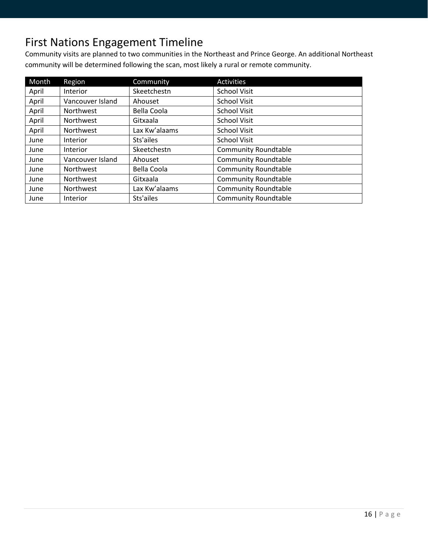# <span id="page-15-0"></span>First Nations Engagement Timeline

Community visits are planned to two communities in the Northeast and Prince George. An additional Northeast community will be determined following the scan, most likely a rural or remote community.

| Month | Region           | Community     | <b>Activities</b>           |
|-------|------------------|---------------|-----------------------------|
| April | Interior         | Skeetchestn   | <b>School Visit</b>         |
| April | Vancouver Island | Ahouset       | <b>School Visit</b>         |
| April | <b>Northwest</b> | Bella Coola   | <b>School Visit</b>         |
| April | <b>Northwest</b> | Gitxaala      | <b>School Visit</b>         |
| April | Northwest        | Lax Kw'alaams | <b>School Visit</b>         |
| June  | Interior         | Sts'ailes     | <b>School Visit</b>         |
| June  | Interior         | Skeetchestn   | <b>Community Roundtable</b> |
| June  | Vancouver Island | Ahouset       | <b>Community Roundtable</b> |
| June  | Northwest        | Bella Coola   | <b>Community Roundtable</b> |
| June  | <b>Northwest</b> | Gitxaala      | <b>Community Roundtable</b> |
| June  | <b>Northwest</b> | Lax Kw'alaams | <b>Community Roundtable</b> |
| June  | <b>Interior</b>  | Sts'ailes     | <b>Community Roundtable</b> |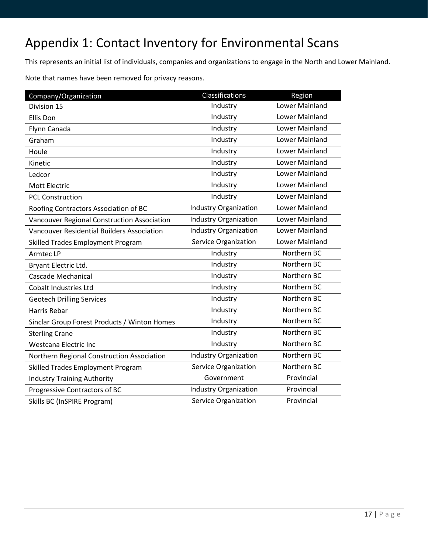# <span id="page-16-0"></span>Appendix 1: Contact Inventory for Environmental Scans

This represents an initial list of individuals, companies and organizations to engage in the North and Lower Mainland.

Note that names have been removed for privacy reasons.

| Company/Organization                              | Classifications              | Region         |
|---------------------------------------------------|------------------------------|----------------|
| Division 15                                       | Industry                     | Lower Mainland |
| <b>Ellis Don</b>                                  | Industry                     | Lower Mainland |
| Flynn Canada                                      | Industry                     | Lower Mainland |
| Graham                                            | Industry                     | Lower Mainland |
| Houle                                             | Industry                     | Lower Mainland |
| Kinetic                                           | Industry                     | Lower Mainland |
| Ledcor                                            | Industry                     | Lower Mainland |
| <b>Mott Electric</b>                              | Industry                     | Lower Mainland |
| <b>PCL Construction</b>                           | Industry                     | Lower Mainland |
| Roofing Contractors Association of BC             | <b>Industry Organization</b> | Lower Mainland |
| Vancouver Regional Construction Association       | <b>Industry Organization</b> | Lower Mainland |
| <b>Vancouver Residential Builders Association</b> | <b>Industry Organization</b> | Lower Mainland |
| Skilled Trades Employment Program                 | Service Organization         | Lower Mainland |
| <b>Armtec LP</b>                                  | Industry                     | Northern BC    |
| Bryant Electric Ltd.                              | Industry                     | Northern BC    |
| Cascade Mechanical                                | Industry                     | Northern BC    |
| Cobalt Industries Ltd                             | Industry                     | Northern BC    |
| <b>Geotech Drilling Services</b>                  | Industry                     | Northern BC    |
| Harris Rebar                                      | Industry                     | Northern BC    |
| Sinclar Group Forest Products / Winton Homes      | Industry                     | Northern BC    |
| <b>Sterling Crane</b>                             | Industry                     | Northern BC    |
| Westcana Electric Inc                             | Industry                     | Northern BC    |
| Northern Regional Construction Association        | <b>Industry Organization</b> | Northern BC    |
| Skilled Trades Employment Program                 | Service Organization         | Northern BC    |
| <b>Industry Training Authority</b>                | Government                   | Provincial     |
| Progressive Contractors of BC                     | <b>Industry Organization</b> | Provincial     |
| Skills BC (InSPIRE Program)                       | <b>Service Organization</b>  | Provincial     |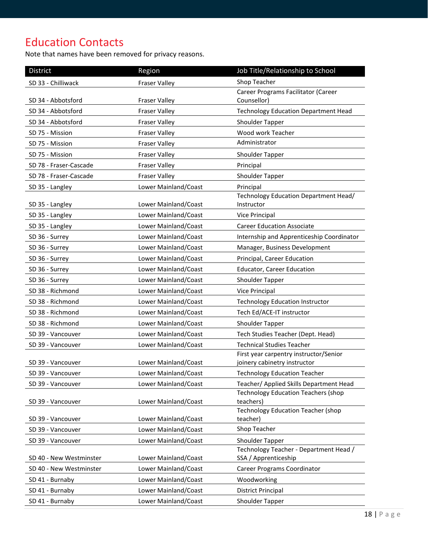# Education Contacts

Note that names have been removed for privacy reasons.

| District                | Region               | Job Title/Relationship to School                        |
|-------------------------|----------------------|---------------------------------------------------------|
| SD 33 - Chilliwack      | <b>Fraser Valley</b> | Shop Teacher                                            |
|                         |                      | Career Programs Facilitator (Career                     |
| SD 34 - Abbotsford      | <b>Fraser Valley</b> | Counsellor)                                             |
| SD 34 - Abbotsford      | <b>Fraser Valley</b> | <b>Technology Education Department Head</b>             |
| SD 34 - Abbotsford      | <b>Fraser Valley</b> | Shoulder Tapper                                         |
| SD 75 - Mission         | <b>Fraser Valley</b> | Wood work Teacher                                       |
| SD 75 - Mission         | <b>Fraser Valley</b> | Administrator                                           |
| SD 75 - Mission         | <b>Fraser Valley</b> | Shoulder Tapper                                         |
| SD 78 - Fraser-Cascade  | <b>Fraser Valley</b> | Principal                                               |
| SD 78 - Fraser-Cascade  | <b>Fraser Valley</b> | Shoulder Tapper                                         |
| SD 35 - Langley         | Lower Mainland/Coast | Principal                                               |
|                         |                      | Technology Education Department Head/                   |
| SD 35 - Langley         | Lower Mainland/Coast | Instructor                                              |
| SD 35 - Langley         | Lower Mainland/Coast | Vice Principal                                          |
| SD 35 - Langley         | Lower Mainland/Coast | <b>Career Education Associate</b>                       |
| SD 36 - Surrey          | Lower Mainland/Coast | Internship and Apprenticeship Coordinator               |
| SD 36 - Surrey          | Lower Mainland/Coast | Manager, Business Development                           |
| SD 36 - Surrey          | Lower Mainland/Coast | Principal, Career Education                             |
| SD 36 - Surrey          | Lower Mainland/Coast | <b>Educator, Career Education</b>                       |
| SD 36 - Surrey          | Lower Mainland/Coast | Shoulder Tapper                                         |
| SD 38 - Richmond        | Lower Mainland/Coast | Vice Principal                                          |
| SD 38 - Richmond        | Lower Mainland/Coast | <b>Technology Education Instructor</b>                  |
| SD 38 - Richmond        | Lower Mainland/Coast | Tech Ed/ACE-IT instructor                               |
| SD 38 - Richmond        | Lower Mainland/Coast | Shoulder Tapper                                         |
| SD 39 - Vancouver       | Lower Mainland/Coast | Tech Studies Teacher (Dept. Head)                       |
| SD 39 - Vancouver       | Lower Mainland/Coast | <b>Technical Studies Teacher</b>                        |
|                         |                      | First year carpentry instructor/Senior                  |
| SD 39 - Vancouver       | Lower Mainland/Coast | joinery cabinetry instructor                            |
| SD 39 - Vancouver       | Lower Mainland/Coast | <b>Technology Education Teacher</b>                     |
| SD 39 - Vancouver       | Lower Mainland/Coast | Teacher/ Applied Skills Department Head                 |
| SD 39 - Vancouver       |                      | <b>Technology Education Teachers (shop</b><br>teachers) |
|                         | Lower Mainland/Coast | <b>Technology Education Teacher (shop</b>               |
| SD 39 - Vancouver       | Lower Mainland/Coast | teacher)                                                |
| SD 39 - Vancouver       | Lower Mainland/Coast | Shop Teacher                                            |
| SD 39 - Vancouver       | Lower Mainland/Coast | Shoulder Tapper                                         |
|                         |                      | Technology Teacher - Department Head /                  |
| SD 40 - New Westminster | Lower Mainland/Coast | SSA / Apprenticeship                                    |
| SD 40 - New Westminster | Lower Mainland/Coast | Career Programs Coordinator                             |
| SD 41 - Burnaby         | Lower Mainland/Coast | Woodworking                                             |
| SD 41 - Burnaby         | Lower Mainland/Coast | District Principal                                      |
| SD 41 - Burnaby         | Lower Mainland/Coast | Shoulder Tapper                                         |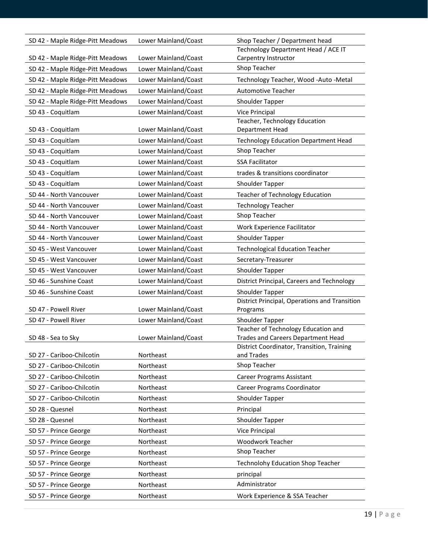| SD 42 - Maple Ridge-Pitt Meadows | Lower Mainland/Coast | Shop Teacher / Department head                                                   |
|----------------------------------|----------------------|----------------------------------------------------------------------------------|
|                                  |                      | Technology Department Head / ACE IT                                              |
| SD 42 - Maple Ridge-Pitt Meadows | Lower Mainland/Coast | Carpentry Instructor                                                             |
| SD 42 - Maple Ridge-Pitt Meadows | Lower Mainland/Coast | Shop Teacher                                                                     |
| SD 42 - Maple Ridge-Pitt Meadows | Lower Mainland/Coast | Technology Teacher, Wood -Auto -Metal                                            |
| SD 42 - Maple Ridge-Pitt Meadows | Lower Mainland/Coast | <b>Automotive Teacher</b>                                                        |
| SD 42 - Maple Ridge-Pitt Meadows | Lower Mainland/Coast | Shoulder Tapper                                                                  |
| SD 43 - Coquitlam                | Lower Mainland/Coast | <b>Vice Principal</b>                                                            |
| SD 43 - Coquitlam                | Lower Mainland/Coast | Teacher, Technology Education<br>Department Head                                 |
| SD 43 - Coquitlam                | Lower Mainland/Coast | <b>Technology Education Department Head</b>                                      |
| SD 43 - Coquitlam                | Lower Mainland/Coast | Shop Teacher                                                                     |
| SD 43 - Coquitlam                | Lower Mainland/Coast | <b>SSA Facilitator</b>                                                           |
| SD 43 - Coquitlam                | Lower Mainland/Coast | trades & transitions coordinator                                                 |
| SD 43 - Coquitlam                | Lower Mainland/Coast | Shoulder Tapper                                                                  |
|                                  |                      |                                                                                  |
| SD 44 - North Vancouver          | Lower Mainland/Coast | Teacher of Technology Education                                                  |
| SD 44 - North Vancouver          | Lower Mainland/Coast | <b>Technology Teacher</b>                                                        |
| SD 44 - North Vancouver          | Lower Mainland/Coast | Shop Teacher                                                                     |
| SD 44 - North Vancouver          | Lower Mainland/Coast | Work Experience Facilitator                                                      |
| SD 44 - North Vancouver          | Lower Mainland/Coast | Shoulder Tapper                                                                  |
| SD 45 - West Vancouver           | Lower Mainland/Coast | <b>Technological Education Teacher</b>                                           |
| SD 45 - West Vancouver           | Lower Mainland/Coast | Secretary-Treasurer                                                              |
| SD 45 - West Vancouver           | Lower Mainland/Coast | Shoulder Tapper                                                                  |
| SD 46 - Sunshine Coast           | Lower Mainland/Coast | District Principal, Careers and Technology                                       |
| SD 46 - Sunshine Coast           | Lower Mainland/Coast | Shoulder Tapper                                                                  |
| SD 47 - Powell River             | Lower Mainland/Coast | District Principal, Operations and Transition<br>Programs                        |
| SD 47 - Powell River             | Lower Mainland/Coast | Shoulder Tapper                                                                  |
| SD 48 - Sea to Sky               | Lower Mainland/Coast | Teacher of Technology Education and<br><b>Trades and Careers Department Head</b> |
|                                  |                      | District Coordinator, Transition, Training                                       |
| SD 27 - Cariboo-Chilcotin        | Northeast            | and Trades                                                                       |
| SD 27 - Cariboo-Chilcotin        | Northeast            | Shop Teacher                                                                     |
| SD 27 - Cariboo-Chilcotin        | Northeast            | Career Programs Assistant                                                        |
| SD 27 - Cariboo-Chilcotin        | Northeast            | Career Programs Coordinator                                                      |
| SD 27 - Cariboo-Chilcotin        | Northeast            | Shoulder Tapper                                                                  |
| SD 28 - Quesnel                  | Northeast            | Principal                                                                        |
| SD 28 - Quesnel                  | Northeast            | Shoulder Tapper                                                                  |
| SD 57 - Prince George            | Northeast            | <b>Vice Principal</b>                                                            |
| SD 57 - Prince George            | Northeast            | Woodwork Teacher                                                                 |
| SD 57 - Prince George            | Northeast            | Shop Teacher                                                                     |
| SD 57 - Prince George            | Northeast            | <b>Technolohy Education Shop Teacher</b>                                         |
| SD 57 - Prince George            | Northeast            | principal                                                                        |
| SD 57 - Prince George            | Northeast            | Administrator                                                                    |
| SD 57 - Prince George            | Northeast            | Work Experience & SSA Teacher                                                    |
|                                  |                      |                                                                                  |